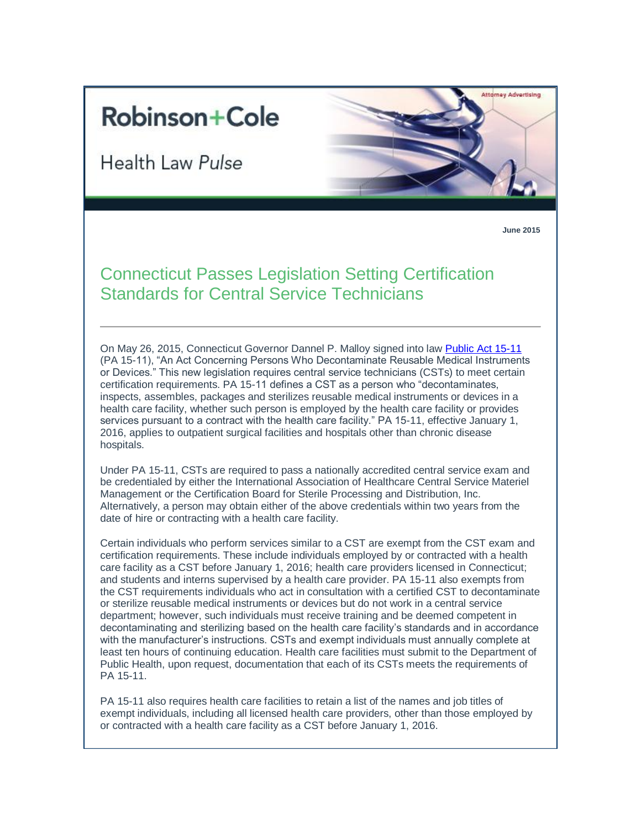## **Robinson+Cole**

Health Law Pulse



**June 2015**

## Connecticut Passes Legislation Setting Certification Standards for Central Service Technicians

On May 26, 2015, Connecticut Governor Dannel P. Malloy signed into law [Public Act 15-11](http://www.cga.ct.gov/2015/ACT/PA/2015PA-00011-R00HB-05913-PA.htm) (PA 15-11), "An Act Concerning Persons Who Decontaminate Reusable Medical Instruments or Devices." This new legislation requires central service technicians (CSTs) to meet certain certification requirements. PA 15-11 defines a CST as a person who "decontaminates, inspects, assembles, packages and sterilizes reusable medical instruments or devices in a health care facility, whether such person is employed by the health care facility or provides services pursuant to a contract with the health care facility." PA 15-11, effective January 1, 2016, applies to outpatient surgical facilities and hospitals other than chronic disease hospitals.

Under PA 15-11, CSTs are required to pass a nationally accredited central service exam and be credentialed by either the International Association of Healthcare Central Service Materiel Management or the Certification Board for Sterile Processing and Distribution, Inc. Alternatively, a person may obtain either of the above credentials within two years from the date of hire or contracting with a health care facility.

Certain individuals who perform services similar to a CST are exempt from the CST exam and certification requirements. These include individuals employed by or contracted with a health care facility as a CST before January 1, 2016; health care providers licensed in Connecticut; and students and interns supervised by a health care provider. PA 15-11 also exempts from the CST requirements individuals who act in consultation with a certified CST to decontaminate or sterilize reusable medical instruments or devices but do not work in a central service department; however, such individuals must receive training and be deemed competent in decontaminating and sterilizing based on the health care facility's standards and in accordance with the manufacturer's instructions. CSTs and exempt individuals must annually complete at least ten hours of continuing education. Health care facilities must submit to the Department of Public Health, upon request, documentation that each of its CSTs meets the requirements of PA 15-11.

PA 15-11 also requires health care facilities to retain a list of the names and job titles of exempt individuals, including all licensed health care providers, other than those employed by or contracted with a health care facility as a CST before January 1, 2016.